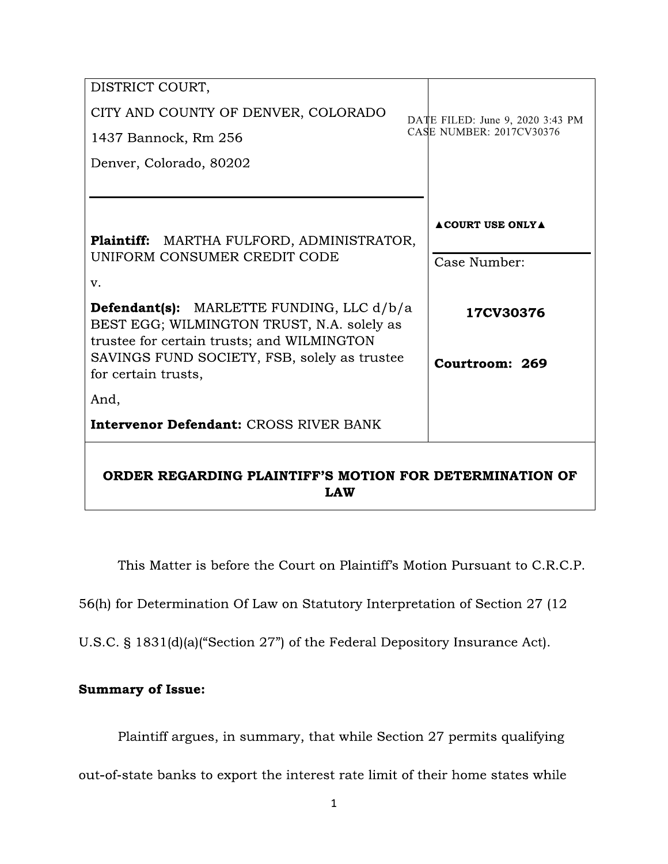| DISTRICT COURT,                                                                                                                              |                                  |
|----------------------------------------------------------------------------------------------------------------------------------------------|----------------------------------|
| CITY AND COUNTY OF DENVER, COLORADO                                                                                                          | DATE FILED: June 9, 2020 3:43 PM |
| 1437 Bannock, Rm 256                                                                                                                         | CASE NUMBER: 2017CV30376         |
| Denver, Colorado, 80202                                                                                                                      |                                  |
|                                                                                                                                              |                                  |
| Plaintiff: MARTHA FULFORD, ADMINISTRATOR,<br>UNIFORM CONSUMER CREDIT CODE                                                                    | <b>ACOURT USE ONLY A</b>         |
|                                                                                                                                              | Case Number:                     |
| V.                                                                                                                                           |                                  |
| <b>Defendant(s):</b> MARLETTE FUNDING, LLC d/b/a<br>BEST EGG; WILMINGTON TRUST, N.A. solely as<br>trustee for certain trusts; and WILMINGTON | 17CV30376                        |
| SAVINGS FUND SOCIETY, FSB, solely as trustee<br>for certain trusts,                                                                          | Courtroom: 269                   |
| And,                                                                                                                                         |                                  |
| <b>Intervenor Defendant: CROSS RIVER BANK</b>                                                                                                |                                  |
| ORDER REGARDING PLAINTIFF'S MOTION FOR DETERMINATION OF<br><b>LAW</b>                                                                        |                                  |

This Matter is before the Court on Plaintiff's Motion Pursuant to C.R.C.P.

56(h) for Determination Of Law on Statutory Interpretation of Section 27 (12

U.S.C. § 1831(d)(a)("Section 27") of the Federal Depository Insurance Act).

# **Summary of Issue:**

Plaintiff argues, in summary, that while Section 27 permits qualifying

out-of-state banks to export the interest rate limit of their home states while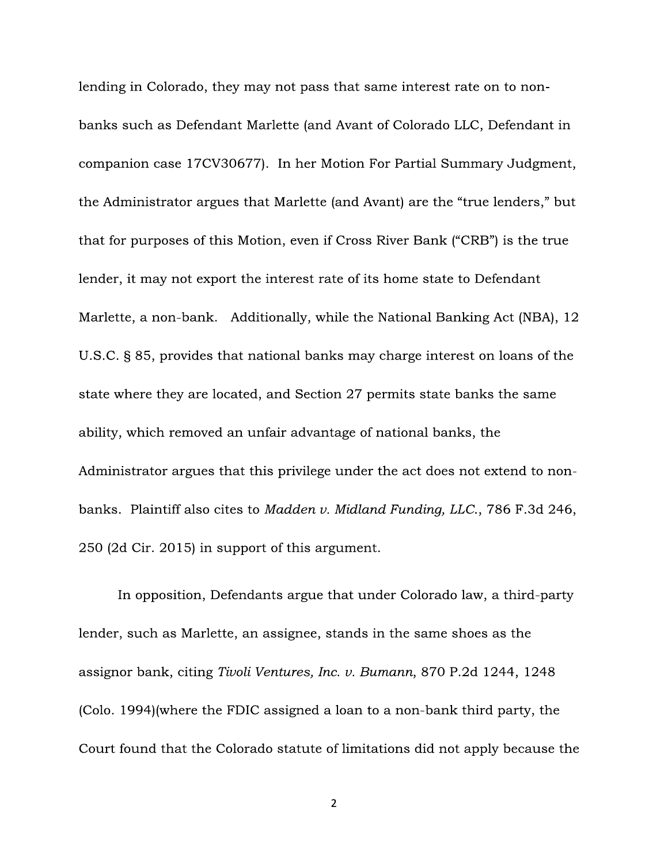lending in Colorado, they may not pass that same interest rate on to nonbanks such as Defendant Marlette (and Avant of Colorado LLC, Defendant in companion case 17CV30677). In her Motion For Partial Summary Judgment, the Administrator argues that Marlette (and Avant) are the "true lenders," but that for purposes of this Motion, even if Cross River Bank ("CRB") is the true lender, it may not export the interest rate of its home state to Defendant Marlette, a non-bank. Additionally, while the National Banking Act (NBA), 12 U.S.C. § 85, provides that national banks may charge interest on loans of the state where they are located, and Section 27 permits state banks the same ability, which removed an unfair advantage of national banks, the Administrator argues that this privilege under the act does not extend to nonbanks. Plaintiff also cites to Madden v. Midland Funding, LLC., 786 F.3d 246, 250 (2d Cir. 2015) in support of this argument.

In opposition, Defendants argue that under Colorado law, a third-party lender, such as Marlette, an assignee, stands in the same shoes as the assignor bank, citing Tivoli Ventures, Inc. v. Bumann, 870 P.2d 1244, 1248 (Colo. 1994) (where the FDIC assigned a loan to a non-bank third party, the Court found that the Colorado statute of limitations did not apply because the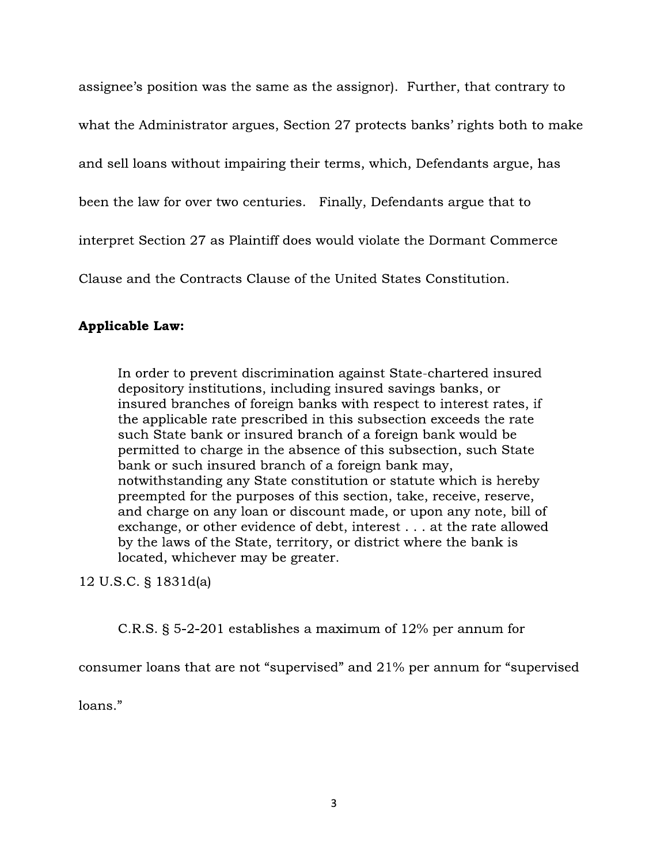assignee's position was the same as the assignor). Further, that contrary to

what the Administrator argues, Section 27 protects banks' rights both to make

and sell loans without impairing their terms, which, Defendants argue, has

been the law for over two centuries. Finally, Defendants argue that to

interpret Section 27 as Plaintiff does would violate the Dormant Commerce

Clause and the Contracts Clause of the United States Constitution.

## **Applicable Law:**

In order to prevent discrimination against State-chartered insured depository institutions, including insured savings banks, or insured branches of foreign banks with respect to interest rates, if the applicable rate prescribed in this subsection exceeds the rate such State bank or insured branch of a foreign bank would be permitted to charge in the absence of this subsection, such State bank or such insured branch of a foreign bank may, notwithstanding any State constitution or statute which is hereby preempted for the purposes of this section, take, receive, reserve, and charge on any loan or discount made, or upon any note, bill of exchange, or other evidence of debt, interest . . . at the rate allowed by the laws of the State, territory, or district where the bank is located, whichever may be greater.

12 U.S.C. § 1831d(a)

C.R.S.  $\S$  5-2-201 establishes a maximum of 12% per annum for

consumer loans that are not "supervised" and 21% per annum for "supervised"

loans."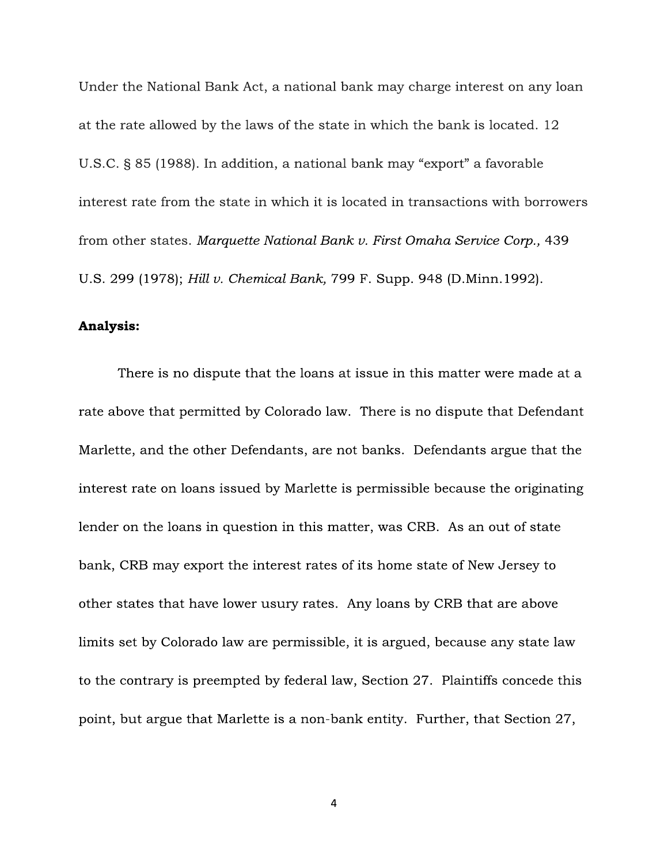Under the National Bank Act, a national bank may charge interest on any loan at the rate allowed by the laws of the state in which the bank is located. 12 U.S.C. § 85 (1988). In addition, a national bank may "export" a favorable interest rate from the state in which it is located in transactions with borrowers from other states. Marguette National Bank v. First Omaha Service Corp., 439 U.S. 299 (1978); Hill v. Chemical Bank, 799 F. Supp. 948 (D.Minn. 1992).

#### Analysis:

There is no dispute that the loans at issue in this matter were made at a rate above that permitted by Colorado law. There is no dispute that Defendant Marlette, and the other Defendants, are not banks. Defendants argue that the interest rate on loans issued by Marlette is permissible because the originating lender on the loans in question in this matter, was CRB. As an out of state bank, CRB may export the interest rates of its home state of New Jersey to other states that have lower usury rates. Any loans by CRB that are above limits set by Colorado law are permissible, it is argued, because any state law to the contrary is preempted by federal law, Section 27. Plaintiffs concede this point, but argue that Marlette is a non-bank entity. Further, that Section 27,

4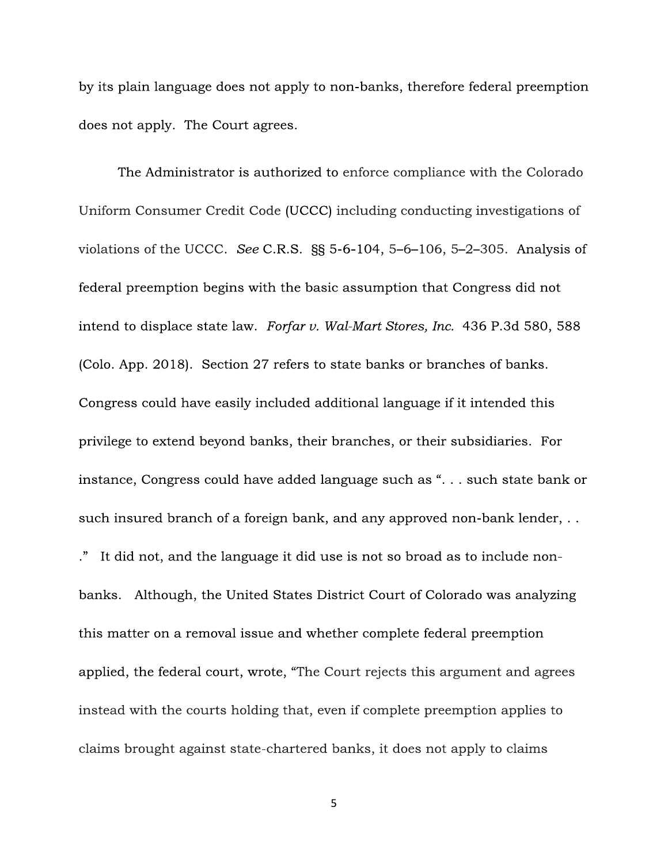by its plain language does not apply to non-banks, therefore federal preemption does not apply. The Court agrees.

The Administrator is authorized to enforce compliance with the Colorado Uniform Consumer Credit Code (UCCC) including conducting investigations of violations of the UCCC. See C.R.S.  $\S$ § 5-6-104, 5-6-106, 5-2-305. Analysis of federal preemption begins with the basic assumption that Congress did not intend to displace state law. Forfar v. Wal-Mart Stores, Inc. 436 P.3d 580, 588 (Colo. App. 2018). Section 27 refers to state banks or branches of banks. Congress could have easily included additional language if it intended this privilege to extend beyond banks, their branches, or their subsidiaries. For instance, Congress could have added language such as "... such state bank or such insured branch of a foreign bank, and any approved non-bank lender, .. ." It did not, and the language it did use is not so broad as to include nonbanks. Although, the United States District Court of Colorado was analyzing this matter on a removal issue and whether complete federal preemption applied, the federal court, wrote, "The Court rejects this argument and agrees instead with the courts holding that, even if complete preemption applies to claims brought against state-chartered banks, it does not apply to claims

5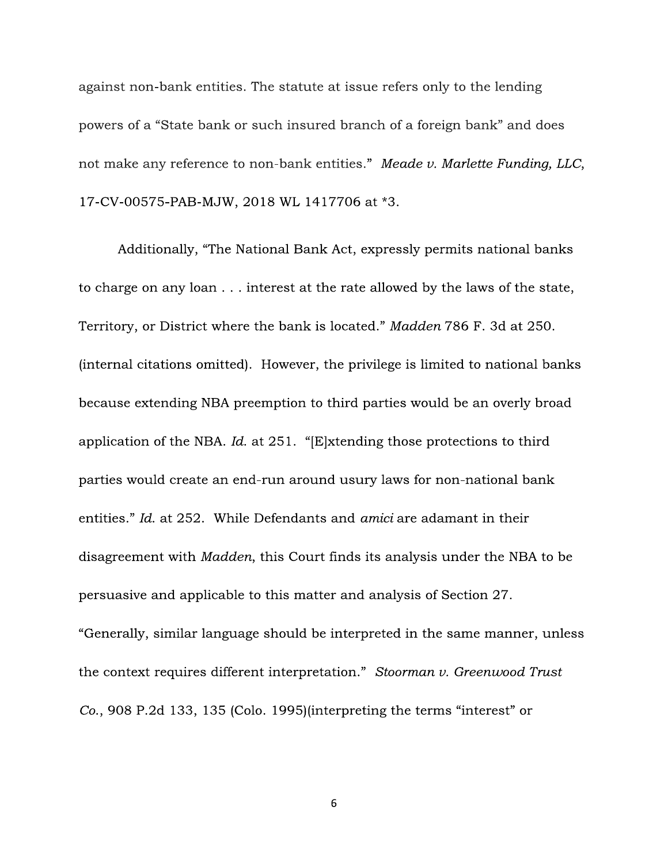against non-bank entities. The statute at issue refers only to the lending powers of a "State bank or such insured branch of a foreign bank" and does not make any reference to non-bank entities." Meade v. Marlette Funding, LLC, 17-CV-00575-PAB-MJW, 2018 WL 1417706 at \*3.

Additionally, "The National Bank Act, expressly permits national banks to charge on any loan . . . interest at the rate allowed by the laws of the state, Territory, or District where the bank is located." Madden 786 F. 3d at 250. (internal citations omitted). However, the privilege is limited to national banks because extending NBA preemption to third parties would be an overly broad application of the NBA. Id. at  $251$ . "[E]xtending those protections to third parties would create an end-run around usury laws for non-national bank entities." Id. at 252. While Defendants and *amici* are adamant in their disagreement with *Madden*, this Court finds its analysis under the NBA to be persuasive and applicable to this matter and analysis of Section 27. "Generally, similar language should be interpreted in the same manner, unless the context requires different interpretation." Stoorman v. Greenwood Trust Co., 908 P.2d 133, 135 (Colo. 1995) (interpreting the terms "interest" or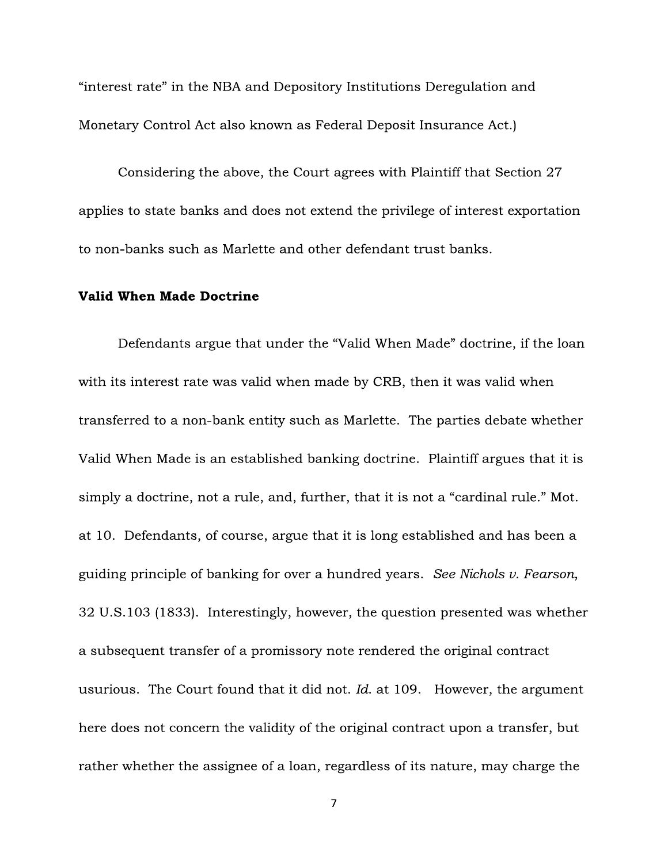"interest rate" in the NBA and Depository Institutions Deregulation and Monetary Control Act also known as Federal Deposit Insurance Act.)

Considering the above, the Court agrees with Plaintiff that Section 27 applies to state banks and does not extend the privilege of interest exportation to non-banks such as Marlette and other defendant trust banks.

#### **Valid When Made Doctrine**

Defendants argue that under the "Valid When Made" doctrine, if the loan with its interest rate was valid when made by CRB, then it was valid when transferred to a non-bank entity such as Marlette. The parties debate whether Valid When Made is an established banking doctrine. Plaintiff argues that it is simply a doctrine, not a rule, and, further, that it is not a "cardinal rule." Mot. at 10. Defendants, of course, argue that it is long established and has been a guiding principle of banking for over a hundred years. See Nichols v. Fearson, 32 U.S.103 (1833). Interestingly, however, the question presented was whether a subsequent transfer of a promissory note rendered the original contract usurious. The Court found that it did not. Id. at 109. However, the argument here does not concern the validity of the original contract upon a transfer, but rather whether the assignee of a loan, regardless of its nature, may charge the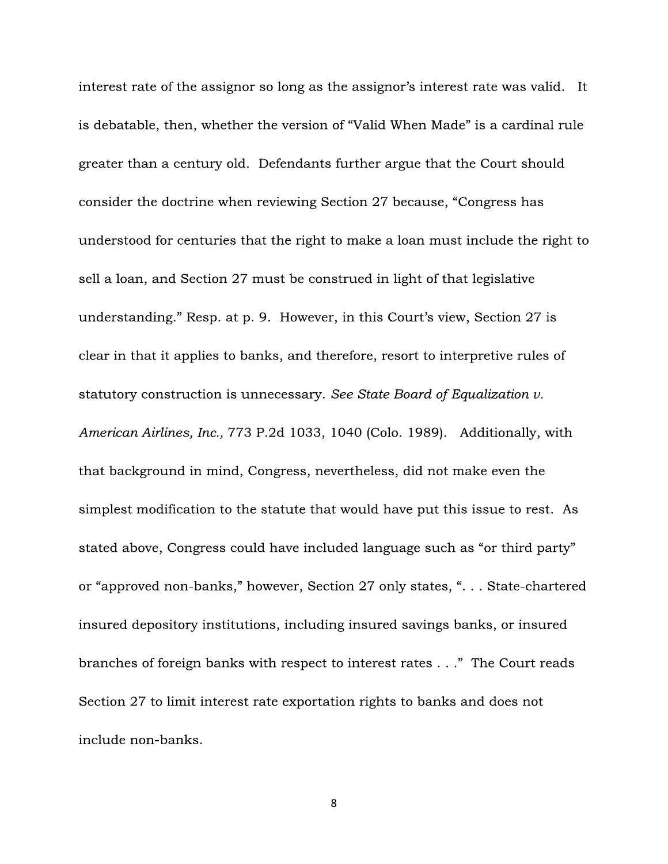interest rate of the assignor so long as the assignor's interest rate was valid. It is debatable, then, whether the version of "Valid When Made" is a cardinal rule greater than a century old. Defendants further argue that the Court should consider the doctrine when reviewing Section 27 because, "Congress has understood for centuries that the right to make a loan must include the right to sell a loan, and Section 27 must be construed in light of that legislative understanding." Resp. at p. 9. However, in this Court's view, Section 27 is clear in that it applies to banks, and therefore, resort to interpretive rules of statutory construction is unnecessary. See State Board of Equalization v. American Airlines, Inc., 773 P.2d 1033, 1040 (Colo. 1989). Additionally, with that background in mind, Congress, nevertheless, did not make even the simplest modification to the statute that would have put this issue to rest. As stated above, Congress could have included language such as "or third party" or "approved non-banks," however, Section 27 only states, ". . . State-chartered insured depository institutions, including insured savings banks, or insured branches of foreign banks with respect to interest rates . . ." The Court reads Section 27 to limit interest rate exportation rights to banks and does not include non-banks.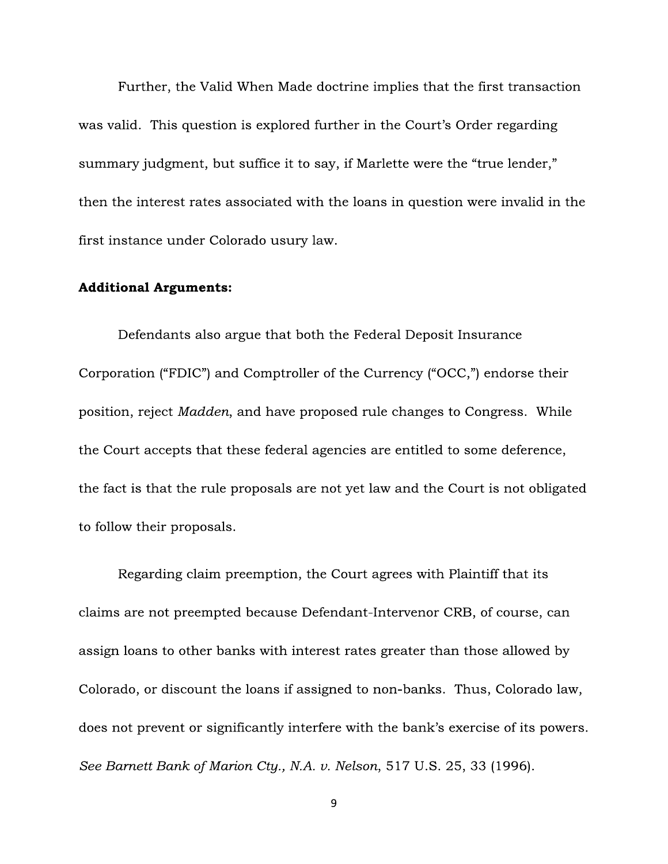Further, the Valid When Made doctrine implies that the first transaction was valid. This question is explored further in the Court's Order regarding summary judgment, but suffice it to say, if Marlette were the "true lender," then the interest rates associated with the loans in question were invalid in the first instance under Colorado usury law.

#### **Additional Arguments:**

Defendants also argue that both the Federal Deposit Insurance Corporation ("FDIC") and Comptroller of the Currency ("OCC,") endorse their position, reject Madden, and have proposed rule changes to Congress. While the Court accepts that these federal agencies are entitled to some deference, the fact is that the rule proposals are not yet law and the Court is not obligated to follow their proposals.

Regarding claim preemption, the Court agrees with Plaintiff that its claims are not preempted because Defendant-Intervenor CRB, of course, can assign loans to other banks with interest rates greater than those allowed by Colorado, or discount the loans if assigned to non-banks. Thus, Colorado law, does not prevent or significantly interfere with the bank's exercise of its powers. See Barnett Bank of Marion Cty., N.A. v. Nelson, 517 U.S. 25, 33 (1996).

9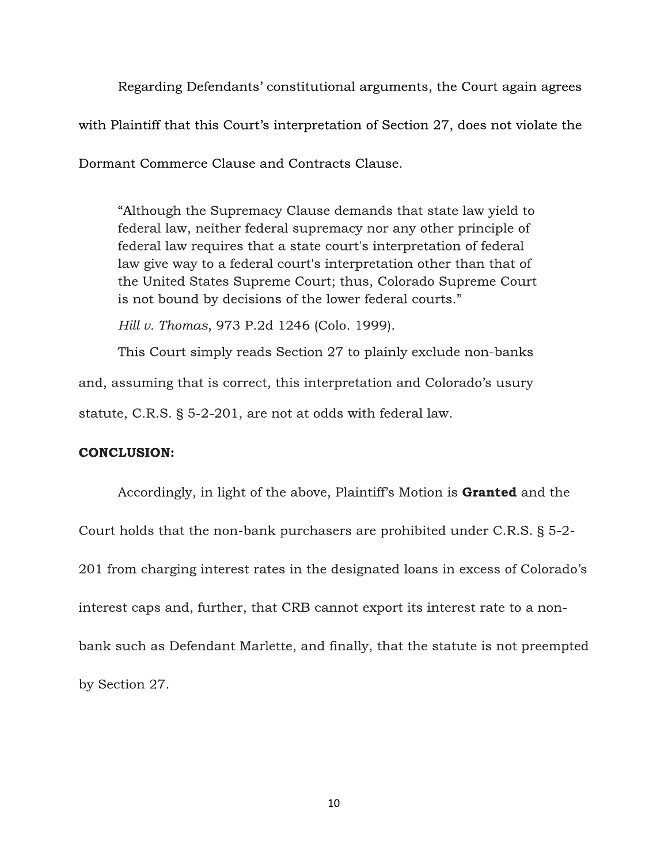Regarding Defendants' constitutional arguments, the Court again agrees with Plaintiff that this Court's interpretation of Section 27, does not violate the

Dormant Commerce Clause and Contracts Clause.

"Although the Supremacy Clause demands that state law yield to federal law, neither federal supremacy nor any other principle of federal law requires that a state court's interpretation of federal law give way to a federal court's interpretation other than that of the United States Supreme Court; thus, Colorado Supreme Court is not bound by decisions of the lower federal courts."

Hill v. Thomas, 973 P.2d 1246 (Colo. 1999).

This Court simply reads Section 27 to plainly exclude non-banks

and, assuming that is correct, this interpretation and Colorado's usury

statute, C.R.S. § 5-2-201, are not at odds with federal law.

### **CONCLUSION:**

Accordingly, in light of the above, Plaintiff's Motion is Granted and the Court holds that the non-bank purchasers are prohibited under C.R.S. § 5-2-201 from charging interest rates in the designated loans in excess of Colorado's interest caps and, further, that CRB cannot export its interest rate to a nonbank such as Defendant Marlette, and finally, that the statute is not preempted by Section 27.